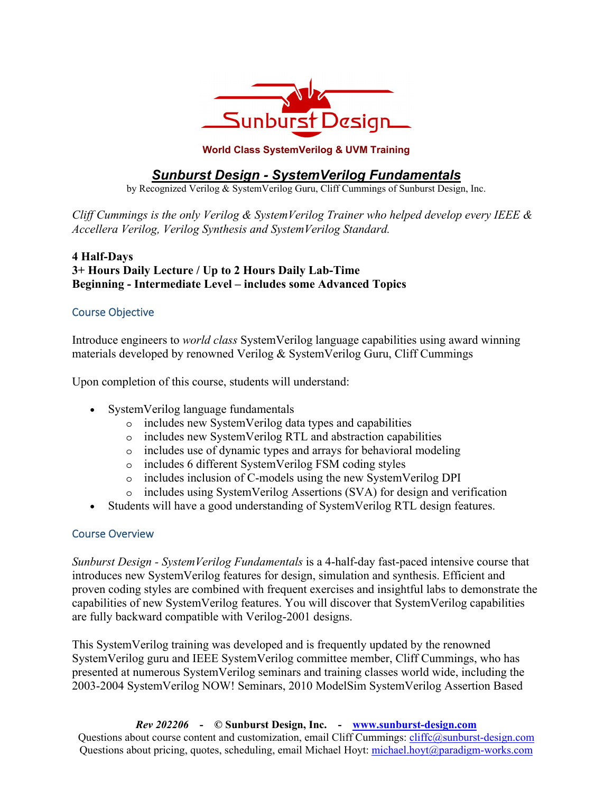

#### **World Class SystemVerilog & UVM Training**

# *Sunburst Design - SystemVerilog Fundamentals*

by Recognized Verilog & SystemVerilog Guru, Cliff Cummings of Sunburst Design, Inc.

*Cliff Cummings is the only Verilog & SystemVerilog Trainer who helped develop every IEEE & Accellera Verilog, Verilog Synthesis and SystemVerilog Standard.* 

### **4 Half-Days 3+ Hours Daily Lecture / Up to 2 Hours Daily Lab-Time Beginning - Intermediate Level – includes some Advanced Topics**

### Course Objective

Introduce engineers to *world class* SystemVerilog language capabilities using award winning materials developed by renowned Verilog & SystemVerilog Guru, Cliff Cummings

Upon completion of this course, students will understand:

- SystemVerilog language fundamentals
	- o includes new SystemVerilog data types and capabilities
	- o includes new SystemVerilog RTL and abstraction capabilities
	- o includes use of dynamic types and arrays for behavioral modeling
	- o includes 6 different SystemVerilog FSM coding styles
	- o includes inclusion of C-models using the new SystemVerilog DPI
	- o includes using SystemVerilog Assertions (SVA) for design and verification
- Students will have a good understanding of SystemVerilog RTL design features.

#### Course Overview

*Sunburst Design - SystemVerilog Fundamentals* is a 4-half-day fast-paced intensive course that introduces new SystemVerilog features for design, simulation and synthesis. Efficient and proven coding styles are combined with frequent exercises and insightful labs to demonstrate the capabilities of new SystemVerilog features. You will discover that SystemVerilog capabilities are fully backward compatible with Verilog-2001 designs.

This SystemVerilog training was developed and is frequently updated by the renowned SystemVerilog guru and IEEE SystemVerilog committee member, Cliff Cummings, who has presented at numerous SystemVerilog seminars and training classes world wide, including the 2003-2004 SystemVerilog NOW! Seminars, 2010 ModelSim SystemVerilog Assertion Based

*Rev 202206* **- © Sunburst Design, Inc. - www.sunburst-design.com** Questions about course content and customization, email Cliff Cummings: cliffc@sunburst-design.com Questions about pricing, quotes, scheduling, email Michael Hoyt: michael.hoyt@paradigm-works.com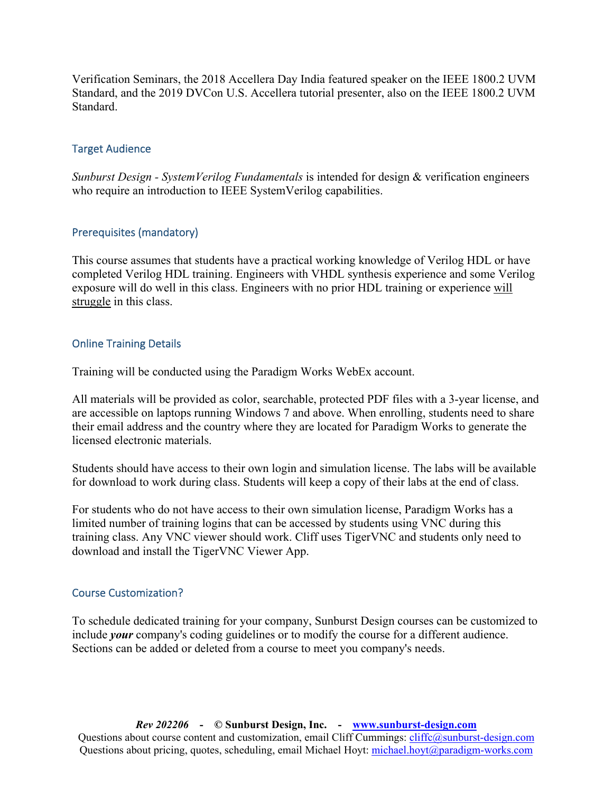Verification Seminars, the 2018 Accellera Day India featured speaker on the IEEE 1800.2 UVM Standard, and the 2019 DVCon U.S. Accellera tutorial presenter, also on the IEEE 1800.2 UVM Standard.

#### Target Audience

*Sunburst Design - SystemVerilog Fundamentals* is intended for design & verification engineers who require an introduction to IEEE SystemVerilog capabilities.

### Prerequisites (mandatory)

This course assumes that students have a practical working knowledge of Verilog HDL or have completed Verilog HDL training. Engineers with VHDL synthesis experience and some Verilog exposure will do well in this class. Engineers with no prior HDL training or experience will struggle in this class.

### Online Training Details

Training will be conducted using the Paradigm Works WebEx account.

All materials will be provided as color, searchable, protected PDF files with a 3-year license, and are accessible on laptops running Windows 7 and above. When enrolling, students need to share their email address and the country where they are located for Paradigm Works to generate the licensed electronic materials.

Students should have access to their own login and simulation license. The labs will be available for download to work during class. Students will keep a copy of their labs at the end of class.

For students who do not have access to their own simulation license, Paradigm Works has a limited number of training logins that can be accessed by students using VNC during this training class. Any VNC viewer should work. Cliff uses TigerVNC and students only need to download and install the TigerVNC Viewer App.

#### Course Customization?

To schedule dedicated training for your company, Sunburst Design courses can be customized to include *your* company's coding guidelines or to modify the course for a different audience. Sections can be added or deleted from a course to meet you company's needs.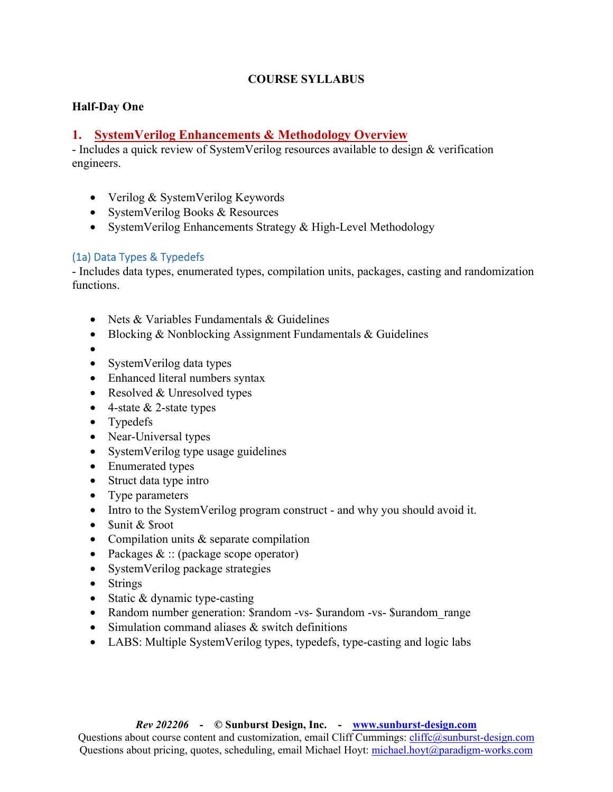### **COURSE SYLLABUS**

### **Half-Day One**

## **1. SystemVerilog Enhancements & Methodology Overview**

- Includes a quick review of SystemVerilog resources available to design & verification engineers.

- Verilog & SystemVerilog Keywords
- SystemVerilog Books & Resources
- SystemVerilog Enhancements Strategy & High-Level Methodology

### (1a) Data Types & Typedefs

- Includes data types, enumerated types, compilation units, packages, casting and randomization functions.

- Nets & Variables Fundamentals & Guidelines
- Blocking & Nonblocking Assignment Fundamentals & Guidelines
- •
- SystemVerilog data types
- Enhanced literal numbers syntax
- Resolved & Unresolved types
- 4-state  $&$  2-state types
- Typedefs
- Near-Universal types
- SystemVerilog type usage guidelines
- Enumerated types
- Struct data type intro
- Type parameters
- Intro to the SystemVerilog program construct and why you should avoid it.
- Sunit & Sroot
- Compilation units & separate compilation
- Packages & :: (package scope operator)
- SystemVerilog package strategies
- Strings
- Static & dynamic type-casting
- Random number generation: \$random -vs- \$urandom -vs- \$urandom range
- Simulation command aliases & switch definitions
- LABS: Multiple SystemVerilog types, typedefs, type-casting and logic labs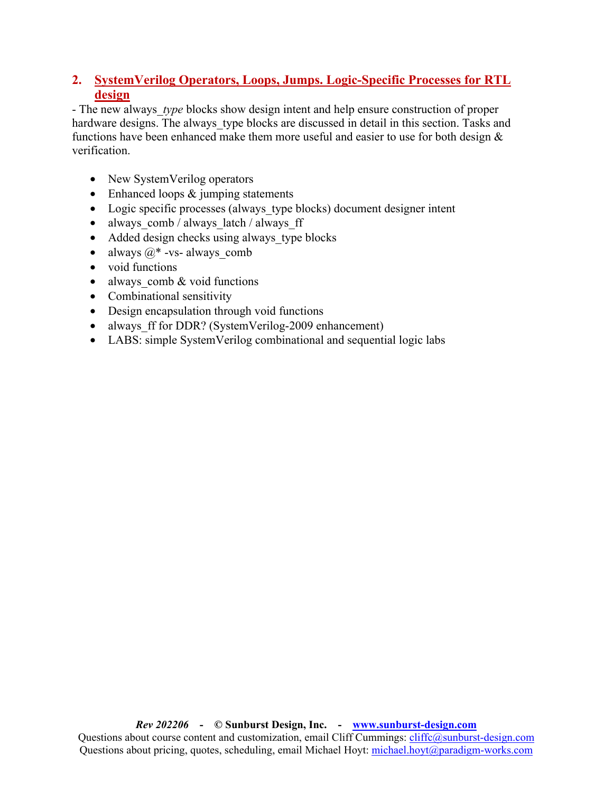# **2. SystemVerilog Operators, Loops, Jumps. Logic-Specific Processes for RTL design**

- The new always *type* blocks show design intent and help ensure construction of proper hardware designs. The always type blocks are discussed in detail in this section. Tasks and functions have been enhanced make them more useful and easier to use for both design & verification.

- New SystemVerilog operators
- Enhanced loops & jumping statements
- Logic specific processes (always type blocks) document designer intent
- always  $comb / always$  latch / always ff
- Added design checks using always type blocks
- always  $@*$  -vs- always comb
- void functions
- always comb  $&$  void functions
- Combinational sensitivity
- Design encapsulation through void functions
- always ff for DDR? (SystemVerilog-2009 enhancement)
- LABS: simple SystemVerilog combinational and sequential logic labs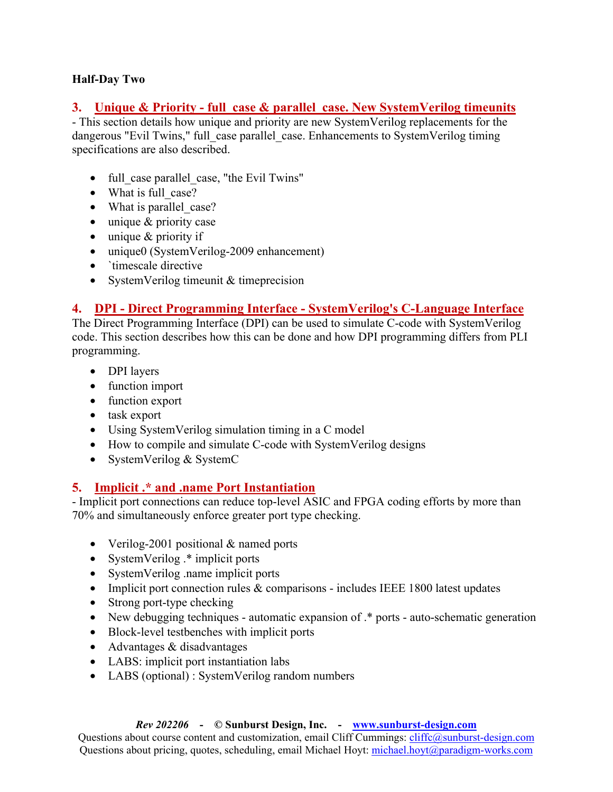### **Half-Day Two**

## **3. Unique & Priority - full\_case & parallel\_case. New SystemVerilog timeunits**

- This section details how unique and priority are new SystemVerilog replacements for the dangerous "Evil Twins," full\_case parallel\_case. Enhancements to SystemVerilog timing specifications are also described.

- full case parallel case, "the Evil Twins"
- What is full case?
- What is parallel case?
- unique & priority case
- unique & priority if
- unique0 (SystemVerilog-2009 enhancement)
- `timescale directive
- SystemVerilog timeunit & timeprecision

# **4. DPI - Direct Programming Interface - SystemVerilog's C-Language Interface**

The Direct Programming Interface (DPI) can be used to simulate C-code with SystemVerilog code. This section describes how this can be done and how DPI programming differs from PLI programming.

- DPI layers
- function import
- function export
- task export
- Using SystemVerilog simulation timing in a C model
- How to compile and simulate C-code with SystemVerilog designs
- SystemVerilog & SystemC

# **5. Implicit .\* and .name Port Instantiation**

- Implicit port connections can reduce top-level ASIC and FPGA coding efforts by more than 70% and simultaneously enforce greater port type checking.

- Verilog-2001 positional & named ports
- SystemVerilog .\* implicit ports
- SystemVerilog .name implicit ports
- Implicit port connection rules & comparisons includes IEEE 1800 latest updates
- Strong port-type checking
- New debugging techniques automatic expansion of  $.*$  ports auto-schematic generation
- Block-level testbenches with implicit ports
- Advantages & disadvantages
- LABS: implicit port instantiation labs
- LABS (optional) : SystemVerilog random numbers

#### *Rev 202206* **- © Sunburst Design, Inc. - www.sunburst-design.com**

Questions about course content and customization, email Cliff Cummings: cliffc@sunburst-design.com Questions about pricing, quotes, scheduling, email Michael Hoyt: michael.hoyt@paradigm-works.com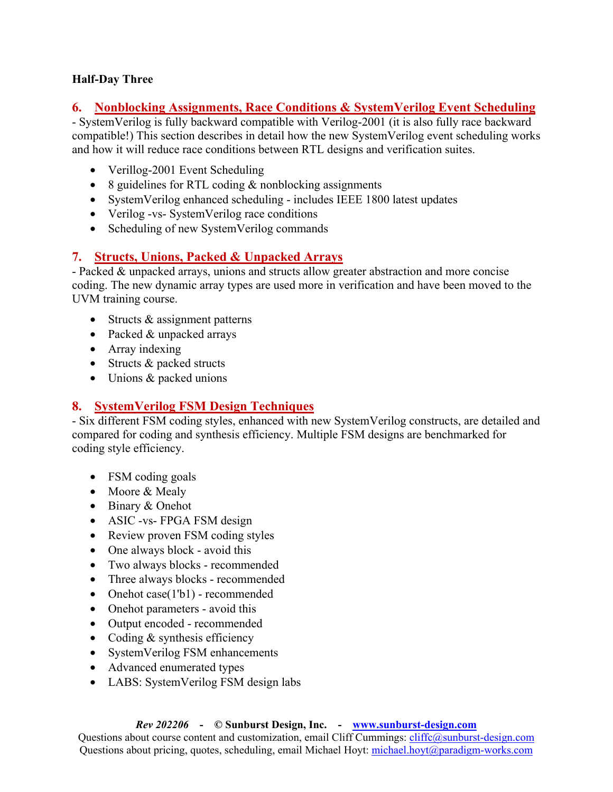### **Half-Day Three**

# **6. Nonblocking Assignments, Race Conditions & SystemVerilog Event Scheduling**

- SystemVerilog is fully backward compatible with Verilog-2001 (it is also fully race backward compatible!) This section describes in detail how the new SystemVerilog event scheduling works and how it will reduce race conditions between RTL designs and verification suites.

- Verillog-2001 Event Scheduling
- 8 guidelines for RTL coding & nonblocking assignments
- SystemVerilog enhanced scheduling includes IEEE 1800 latest updates
- Verilog -vs- SystemVerilog race conditions
- Scheduling of new SystemVerilog commands

# **7. Structs, Unions, Packed & Unpacked Arrays**

- Packed & unpacked arrays, unions and structs allow greater abstraction and more concise coding. The new dynamic array types are used more in verification and have been moved to the UVM training course.

- Structs & assignment patterns
- Packed & unpacked arrays
- Array indexing
- Structs & packed structs
- Unions & packed unions

# **8. SystemVerilog FSM Design Techniques**

- Six different FSM coding styles, enhanced with new SystemVerilog constructs, are detailed and compared for coding and synthesis efficiency. Multiple FSM designs are benchmarked for coding style efficiency.

- FSM coding goals
- Moore & Mealy
- Binary & Onehot
- ASIC -vs- FPGA FSM design
- Review proven FSM coding styles
- One always block avoid this
- Two always blocks recommended
- Three always blocks recommended
- Onehot case(1'b1) recommended
- Onehot parameters avoid this
- Output encoded recommended
- Coding & synthesis efficiency
- SystemVerilog FSM enhancements
- Advanced enumerated types
- LABS: SystemVerilog FSM design labs

#### *Rev 202206* **- © Sunburst Design, Inc. - www.sunburst-design.com**

Questions about course content and customization, email Cliff Cummings: cliffc@sunburst-design.com Questions about pricing, quotes, scheduling, email Michael Hoyt: michael.hoyt@paradigm-works.com